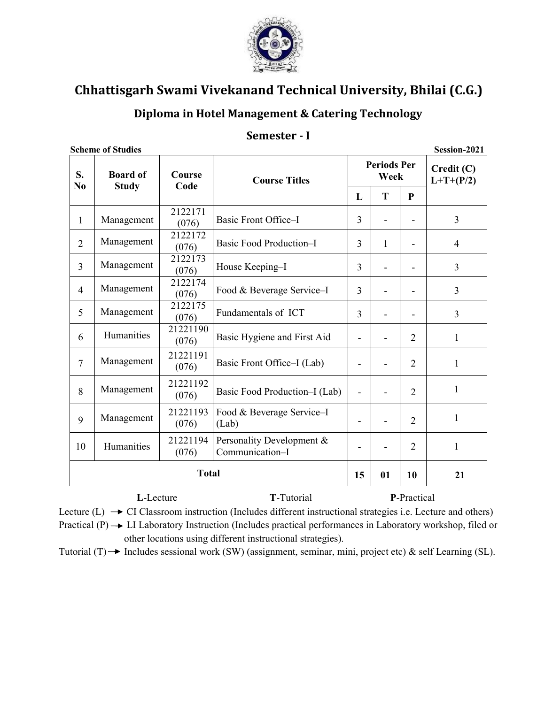

## Diploma in Hotel Management & Catering Technology

#### Semester - I

|                      | <b>Scheme of Studies</b>        |                   |                                              |                |                            |                | Session-2021              |  |  |
|----------------------|---------------------------------|-------------------|----------------------------------------------|----------------|----------------------------|----------------|---------------------------|--|--|
| S.<br>N <sub>0</sub> | <b>Board of</b><br><b>Study</b> | Course<br>Code    | <b>Course Titles</b>                         |                | <b>Periods Per</b><br>Week |                | Credit (C)<br>$L+T+(P/2)$ |  |  |
|                      |                                 |                   |                                              | L              | T                          | ${\bf P}$      |                           |  |  |
| $\mathbf{1}$         | Management                      | 2122171<br>(076)  | Basic Front Office-I                         | 3              |                            |                |                           |  |  |
| $\overline{2}$       | Management                      | 2122172<br>(076)  | <b>Basic Food Production-I</b>               | 3<br>1         |                            |                |                           |  |  |
| $\overline{3}$       | Management                      | 2122173<br>(076)  | House Keeping-I                              | 3              |                            |                |                           |  |  |
| $\overline{4}$       | Management                      | 2122174<br>(076)  | Food & Beverage Service-I                    | $\overline{3}$ | $\overline{\phantom{0}}$   |                | $\overline{3}$            |  |  |
| 5                    | Management                      | 2122175<br>(076)  | Fundamentals of ICT                          | 3              |                            |                | 3                         |  |  |
| 6                    | Humanities                      | 21221190<br>(076) | Basic Hygiene and First Aid                  | $\blacksquare$ |                            | $\overline{2}$ | $\mathbf{1}$              |  |  |
| $\overline{7}$       | Management                      | 21221191<br>(076) | Basic Front Office–I (Lab)                   |                |                            | $\overline{2}$ | $\mathbf{1}$              |  |  |
| 8                    | Management                      | 21221192<br>(076) | Basic Food Production-I (Lab)                |                |                            | $\overline{2}$ | $\mathbf{1}$              |  |  |
| 9                    | Management                      | 21221193<br>(076) | Food & Beverage Service-I<br>(Lab)           |                |                            | $\overline{2}$ | $\mathbf{1}$              |  |  |
| 10                   | Humanities                      | 21221194<br>(076) | Personality Development &<br>Communication-I |                | $\overline{2}$             | $\mathbf{1}$   |                           |  |  |
|                      |                                 | <b>Total</b>      |                                              | 15             | 01                         | 10             | 21                        |  |  |
|                      | L-Lecture                       |                   | T-Tutorial                                   |                |                            | P-Practical    |                           |  |  |

**Scheme of Studies** 

Lecture (L)  $\rightarrow$  CI Classroom instruction (Includes different instructional strategies i.e. Lecture and others) Practical  $(P) \rightarrow L$ I Laboratory Instruction (Includes practical performances in Laboratory workshop, filed or

other locations using different instructional strategies).

Tutorial (T)  $\rightarrow$  Includes sessional work (SW) (assignment, seminar, mini, project etc) & self Learning (SL).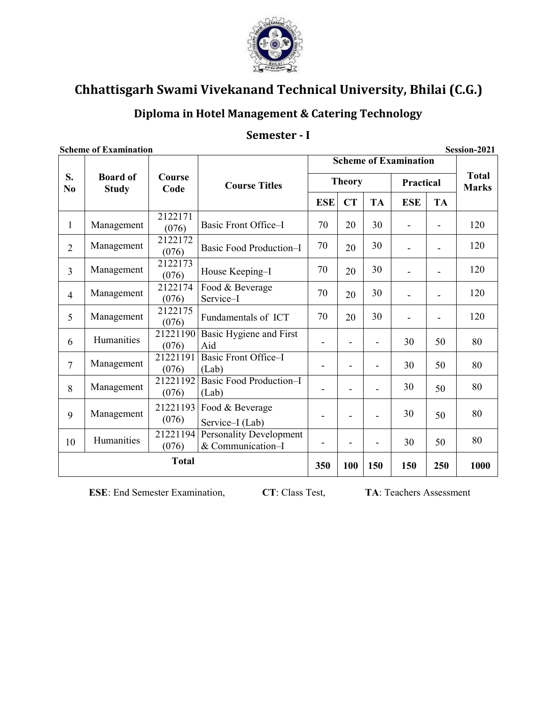

## Diploma in Hotel Management & Catering Technology

#### Semester - I

| <b>Scheme of Examination</b> |                                                 |                   |                                                     |                                                                   |           |                |            |                | Session-2021                 |
|------------------------------|-------------------------------------------------|-------------------|-----------------------------------------------------|-------------------------------------------------------------------|-----------|----------------|------------|----------------|------------------------------|
|                              |                                                 |                   |                                                     | <b>Scheme of Examination</b><br><b>Theory</b><br><b>Practical</b> |           |                |            |                |                              |
| S.<br>No                     | <b>Board of</b><br><b>Study</b>                 | Course<br>Code    | <b>Course Titles</b>                                |                                                                   |           |                |            |                | <b>Total</b><br><b>Marks</b> |
|                              |                                                 |                   |                                                     | <b>ESE</b>                                                        | <b>CT</b> | <b>TA</b>      | <b>ESE</b> | <b>TA</b>      |                              |
| $\mathbf{1}$                 | Management                                      | 2122171<br>(076)  | Basic Front Office-I                                | 70                                                                | 20        | 30             |            |                | 120                          |
| $\overline{2}$               | Management                                      | 2122172<br>(076)  | <b>Basic Food Production-I</b>                      | 70                                                                | 20        | 30             |            |                | 120                          |
| 3                            | Management                                      | 2122173<br>(076)  | House Keeping-I                                     | 70                                                                | 20        | 30             |            | $\blacksquare$ | 120                          |
| $\overline{4}$               | Management                                      | 2122174<br>(076)  | Food & Beverage<br>Service-I                        | 70                                                                | 20        | 30             |            |                | 120                          |
| 5                            | Management                                      | 2122175<br>(076)  | Fundamentals of ICT                                 | 70                                                                | 20        | 30             |            |                | 120                          |
| 6                            | Humanities                                      | 21221190<br>(076) | Basic Hygiene and First<br>Aid                      | $\overline{a}$                                                    |           | $\blacksquare$ | 30         | 50             | 80                           |
| $\overline{7}$               | Management                                      | 21221191<br>(076) | Basic Front Office-I<br>(Lab)                       |                                                                   |           |                | 30         | 50             | 80                           |
| 8                            | Management                                      | 21221192<br>(076) | <b>Basic Food Production-I</b><br>(Lab)             |                                                                   |           |                | 30         | 50             | 80                           |
| 9                            | Management                                      | 21221193<br>(076) | Food & Beverage<br>Service-I (Lab)                  |                                                                   |           |                | 30         | 50             | 80                           |
| 10                           | Humanities                                      | 21221194<br>(076) | <b>Personality Development</b><br>& Communication-I | $\overline{a}$                                                    |           | $\blacksquare$ | 30         | 50             | 80                           |
|                              | <b>Total</b><br>100<br>150<br>250<br>350<br>150 |                   |                                                     | 1000                                                              |           |                |            |                |                              |

**ESE:** End Semester Examination,

CT: Class Test,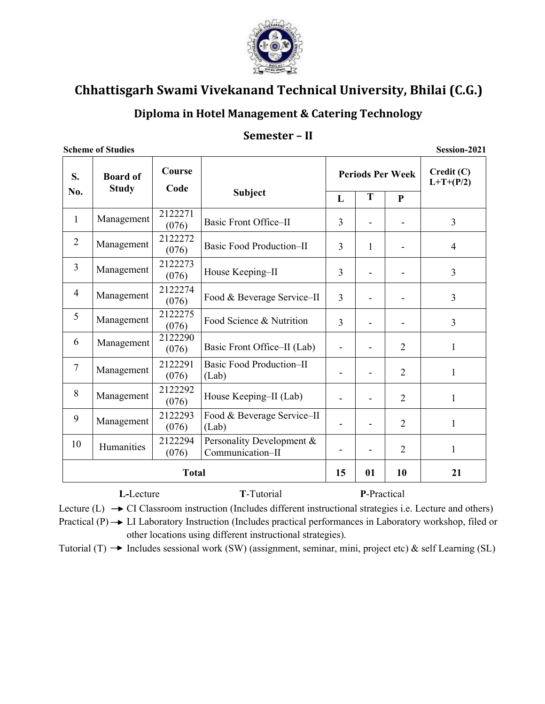

## Diploma in Hotel Management & Catering Technology

#### Semester - II

**Scheme of Studies** 

Session-2021

| S.             | <b>Board of</b><br><b>Study</b> | Course<br>Code   |                                               |              |                          | <b>Periods Per Week</b> | Credit(C)<br>$L+T+(P/2)$ |
|----------------|---------------------------------|------------------|-----------------------------------------------|--------------|--------------------------|-------------------------|--------------------------|
| No.            |                                 |                  | <b>Subject</b>                                | $\mathbf{L}$ | T                        | $\mathbf{P}$            |                          |
| 1              | Management                      | 2122271<br>(076) | <b>Basic Front Office-II</b>                  | 3            |                          |                         | 3                        |
| $\overline{2}$ | Management                      | 2122272<br>(076) | <b>Basic Food Production-II</b>               | 3            | $\mathbf{1}$             |                         | $\overline{4}$           |
| $\overline{3}$ | Management                      | 2122273<br>(076) | House Keeping-II                              | 3            | $\overline{\phantom{0}}$ |                         | $\overline{3}$           |
| $\overline{4}$ | Management                      | 2122274<br>(076) | Food & Beverage Service-II                    | 3            |                          |                         | $\overline{3}$           |
| 5              | Management                      | 2122275<br>(076) | Food Science & Nutrition                      | 3            | $\overline{\phantom{0}}$ |                         | 3                        |
| 6              | Management                      | 2122290<br>(076) | Basic Front Office–II (Lab)                   |              |                          | $\overline{2}$          | $\mathbf{1}$             |
| 7              | Management                      | 2122291<br>(076) | <b>Basic Food Production-II</b><br>(Lab)      |              | $\overline{\phantom{0}}$ | $\overline{2}$          | 1                        |
| 8              | Management                      | 2122292<br>(076) | House Keeping-II (Lab)                        |              |                          | $\overline{2}$          | 1                        |
| 9              | Management                      | 2122293<br>(076) | Food & Beverage Service-II<br>(Lab)           |              |                          | $\overline{2}$          | 1                        |
| 10             | Humanities                      | 2122294<br>(076) | Personality Development &<br>Communication-II |              | $\overline{2}$           | 1                       |                          |
|                | <b>Total</b>                    |                  |                                               | 15           | 01                       | 10                      | 21                       |
|                | L-Lecture                       |                  | T-Tutorial                                    |              | P-Practical              |                         |                          |

Lecture (L)  $\rightarrow$  CI Classroom instruction (Includes different instructional strategies i.e. Lecture and others)

Practical  $(P) \rightarrow L$ I Laboratory Instruction (Includes practical performances in Laboratory workshop, filed or other locations using different instructional strategies).

Tutorial (T)  $\rightarrow$  Includes sessional work (SW) (assignment, seminar, mini, project etc) & self Learning (SL)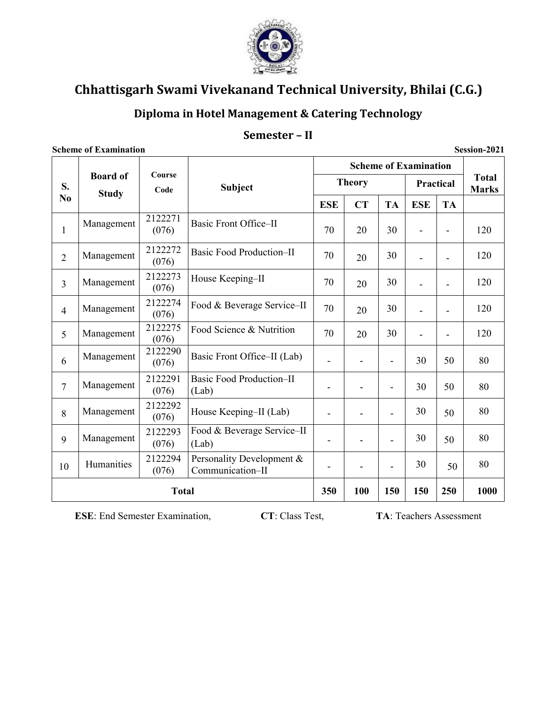

## Diploma in Hotel Management & Catering Technology

#### Semester - II

#### **Scheme of Examination** Session-2021 **Scheme of Examination** Course **Board of Total Theory** Practical S. **Subject Marks** Code **Study**  $No$ **ESE**  $CT$ **TA ESE TA** 2122271 Management Basic Front Office-II  $\mathbf{1}$  $(076)$ 70 20 30 120  $\overline{a}$  $\mathbf{r}$ 2122272 **Basic Food Production-II** Management 70 30 120  $\overline{2}$ 20  $\blacksquare$  $\blacksquare$  $(076)$ 2122273 House Keeping-II Management 70 30 120  $\overline{3}$ 20  $(076)$ 2122274 Food & Beverage Service-II 70 Management 30 120  $\overline{4}$ 20  $\overline{a}$  $\overline{a}$  $(076)$ 2122275 Food Science & Nutrition Management 70 30 120 5 20  $\overline{\phantom{a}}$  $\blacksquare$  $(076)$ 2122290 Management Basic Front Office–II (Lab) 80 6 30 50  $\blacksquare$  $\blacksquare$  $(076)$  $\blacksquare$ 2122291 **Basic Food Production-II** Management  $7\phantom{.0}$ 30 50 80  $\mathbf{r}$  $\overline{a}$  $\overline{a}$  $(076)$  $(Lab)$ 2122292 Management 30 80 House Keeping-II (Lab) 8  $\overline{a}$ 50  $\overline{a}$  $\overline{a}$  $(076)$ Food & Beverage Service-II 2122293 Management 80 30 9 50  $\blacksquare$  $\overline{\phantom{a}}$  $\overline{a}$  $(076)$  $(Lab)$ 2122294 Personality Development & Humanities 80 30 10 50  $\equiv$  $\blacksquare$  $\blacksquare$  $(076)$ Communication-II 100 250 1000 **Total** 350 150 150

**ESE**: End Semester Examination,

CT: Class Test,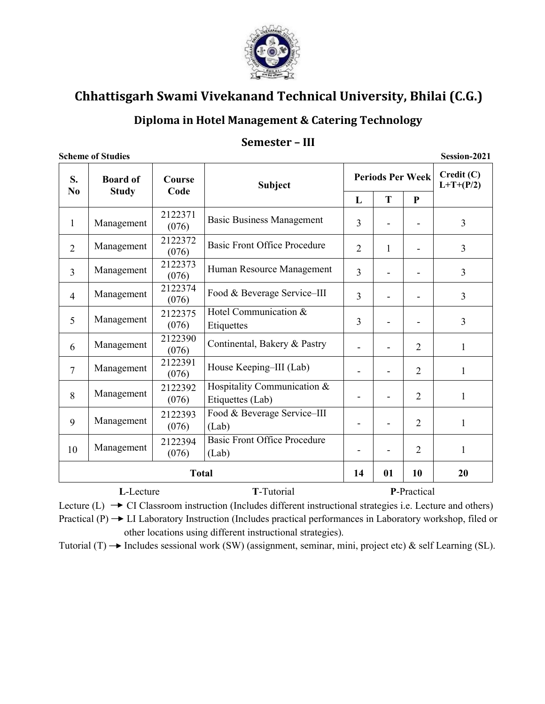

## Diploma in Hotel Management & Catering Technology

#### Semester - III

**Scheme of Studies** 

Session-2021

| S.<br>N <sub>0</sub> | <b>Board of</b><br><b>Study</b> | Course<br><b>Subject</b><br>Code |                                                    |                              |                | <b>Periods Per Week</b> | Credit (C)<br>$L+T+(P/2)$ |
|----------------------|---------------------------------|----------------------------------|----------------------------------------------------|------------------------------|----------------|-------------------------|---------------------------|
|                      |                                 |                                  |                                                    | L                            | T              | $\mathbf{P}$            |                           |
| 1                    | Management                      | 2122371<br>(076)                 | <b>Basic Business Management</b>                   | 3                            |                |                         | 3                         |
| $\overline{2}$       | Management                      | 2122372<br>(076)                 | <b>Basic Front Office Procedure</b>                | $\overline{2}$               | 1              |                         | $\overline{3}$            |
| 3                    | Management                      | 2122373<br>(076)                 | Human Resource Management<br>3                     |                              | $\overline{3}$ |                         |                           |
| $\overline{4}$       | Management                      | 2122374<br>(076)                 | Food & Beverage Service-III<br>3                   |                              |                |                         | 3                         |
| 5                    | Management                      | 2122375<br>(076)                 | Hotel Communication &<br>3<br>Etiquettes           |                              |                | 3                       |                           |
| 6                    | Management                      | 2122390<br>(076)                 | Continental, Bakery & Pastry<br>$\overline{2}$     |                              |                | $\mathbf{1}$            |                           |
| 7                    | Management                      | 2122391<br>(076)                 | House Keeping-III (Lab)                            |                              |                | $\overline{2}$          | $\mathbf{1}$              |
| 8                    | Management                      | 2122392<br>(076)                 | Hospitality Communication &<br>Etiquettes (Lab)    | $\qquad \qquad \blacksquare$ |                | $\overline{2}$          | $\mathbf{1}$              |
| 9                    | Management                      | 2122393<br>(076)                 | Food & Beverage Service-III<br>(Lab)               | ٠                            |                | $\overline{2}$          | $\mathbf{1}$              |
| 10                   | Management                      | 2122394<br>(076)                 | <b>Basic Front Office Procedure</b><br>Ē,<br>(Lab) |                              | $\overline{2}$ | $\mathbf{1}$            |                           |
|                      |                                 | <b>Total</b>                     |                                                    | 14                           | 01             | 10                      | 20                        |
|                      | L-Lecture                       |                                  | <b>T</b> -Tutorial                                 |                              |                | P-Practical             |                           |

Lecture (L)  $\rightarrow$  CI Classroom instruction (Includes different instructional strategies i.e. Lecture and others) Practical  $(P) \rightarrow L$ I Laboratory Instruction (Includes practical performances in Laboratory workshop, filed or other locations using different instructional strategies).

Tutorial (T)  $\rightarrow$  Includes sessional work (SW) (assignment, seminar, mini, project etc) & self Learning (SL).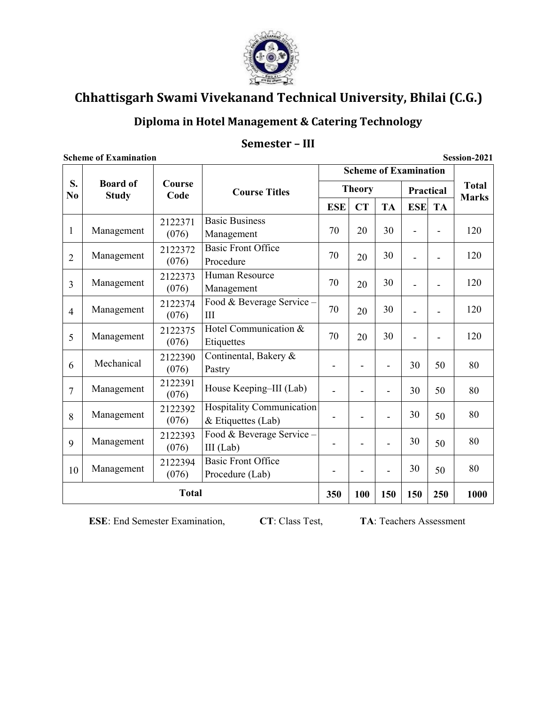

## Diploma in Hotel Management & Catering Technology

## Semester - III

Session-2021

|                      |                                 |                  | <b>Scheme of Examination</b>                           |                          |                          |                          |                |           |                              |
|----------------------|---------------------------------|------------------|--------------------------------------------------------|--------------------------|--------------------------|--------------------------|----------------|-----------|------------------------------|
| S.<br>N <sub>0</sub> | <b>Board of</b><br><b>Study</b> | Course<br>Code   | <b>Course Titles</b>                                   |                          | <b>Theory</b>            |                          | Practical      |           | <b>Total</b><br><b>Marks</b> |
|                      |                                 |                  |                                                        | <b>ESE</b>               | <b>CT</b>                | <b>TA</b>                | <b>ESE</b>     | <b>TA</b> |                              |
| 1                    | Management                      | 2122371<br>(076) | <b>Basic Business</b><br>Management                    | 70                       | 20                       | 30                       |                |           | 120                          |
| $\overline{2}$       | Management                      | 2122372<br>(076) | <b>Basic Front Office</b><br>Procedure                 | 70                       | 20                       | 30                       |                |           | 120                          |
| 3                    | Management                      | 2122373<br>(076) | Human Resource<br>Management                           | 70                       | 20                       | 30                       |                |           | 120                          |
| $\overline{4}$       | Management                      | 2122374<br>(076) | Food & Beverage Service -<br>Ш                         | 70                       | 20                       | 30                       |                |           | 120                          |
| 5                    | Management                      | 2122375<br>(076) | Hotel Communication &<br>Etiquettes                    | 70                       | 20                       | 30                       | $\blacksquare$ |           | 120                          |
| 6                    | Mechanical                      | 2122390<br>(076) | Continental, Bakery &<br>Pastry                        | $\overline{\phantom{a}}$ | $\overline{\phantom{0}}$ | $\blacksquare$           | 30             | 50        | 80                           |
| $\overline{7}$       | Management                      | 2122391<br>(076) | House Keeping-III (Lab)                                |                          |                          |                          | 30             | 50        | 80                           |
| 8                    | Management                      | 2122392<br>(076) | <b>Hospitality Communication</b><br>& Etiquettes (Lab) |                          |                          |                          | 30             | 50        | 80                           |
| 9                    | Management                      | 2122393<br>(076) | Food & Beverage Service -<br>$III$ (Lab)               | $\overline{\phantom{0}}$ | $\overline{\phantom{0}}$ | $\overline{\phantom{0}}$ | 30             | 50        | 80                           |
| 10                   | Management                      | 2122394<br>(076) | <b>Basic Front Office</b><br>Procedure (Lab)           |                          |                          | $\overline{\phantom{0}}$ | 30             | 50        | 80                           |
| <b>Total</b>         |                                 |                  |                                                        |                          | 100                      | 150                      | 150            | 250       | 1000                         |

**Scheme of Examination** 

ESE: End Semester Examination,

CT: Class Test,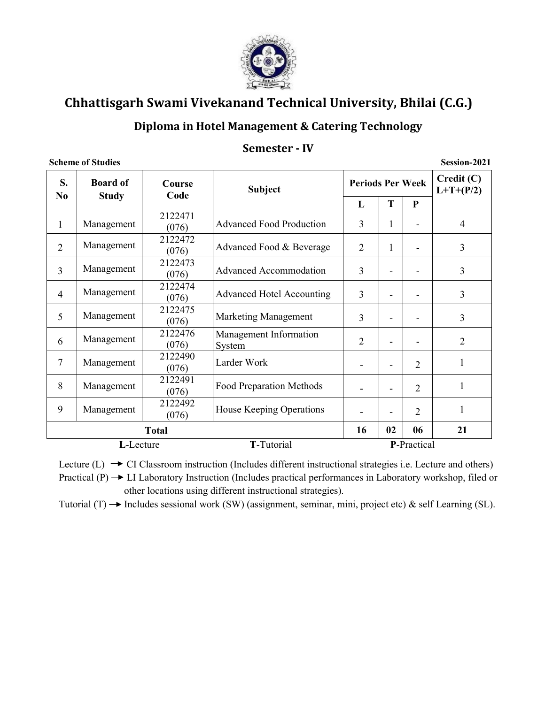

## Diploma in Hotel Management & Catering Technology

#### Semester - IV

Session-2021

| S.<br>N <sub>0</sub> | <b>Board of</b><br><b>Study</b> | Course<br>Code   | <b>Subject</b>                             | <b>Periods Per Week</b>            |    |                | Credit(C)<br>$L+T+(P/2)$ |
|----------------------|---------------------------------|------------------|--------------------------------------------|------------------------------------|----|----------------|--------------------------|
|                      |                                 |                  |                                            | L                                  | T  | ${\bf P}$      |                          |
| $\mathbf{1}$         | Management                      | 2122471<br>(076) | <b>Advanced Food Production</b>            | 3                                  |    |                | $\overline{4}$           |
| $\overline{2}$       | Management                      | 2122472<br>(076) | Advanced Food & Beverage                   | 2<br>1<br>$\overline{\phantom{a}}$ |    |                | 3                        |
| 3                    | Management                      | 2122473<br>(076) | <b>Advanced Accommodation</b>              | 3                                  |    |                |                          |
| $\overline{4}$       | Management                      | 2122474<br>(076) | <b>Advanced Hotel Accounting</b><br>3      |                                    |    |                | 3                        |
| 5                    | Management                      | 2122475<br>(076) | Marketing Management                       | 3                                  |    |                | 3                        |
| 6                    | Management                      | 2122476<br>(076) | Management Information<br>System           | $\overline{2}$                     |    |                | $\overline{2}$           |
| 7                    | Management                      | 2122490<br>(076) | Larder Work                                |                                    |    | 2              | $\mathbf{1}$             |
| 8                    | Management                      | 2122491<br>(076) | Food Preparation Methods                   |                                    |    | $\overline{2}$ | 1                        |
| 9                    | Management                      | 2122492<br>(076) | House Keeping Operations<br>$\overline{2}$ |                                    |    |                | 1                        |
|                      |                                 | <b>Total</b>     |                                            | 16                                 | 02 | 06             | 21                       |
|                      | L-Lecture                       |                  | T-Tutorial                                 |                                    |    | P-Practical    |                          |

Lecture (L)  $\rightarrow$  CI Classroom instruction (Includes different instructional strategies i.e. Lecture and others) Practical  $(P) \rightarrow L$ I Laboratory Instruction (Includes practical performances in Laboratory workshop, filed or other locations using different instructional strategies).

Tutorial (T)  $\rightarrow$  Includes sessional work (SW) (assignment, seminar, mini, project etc) & self Learning (SL).

#### **Scheme of Studies**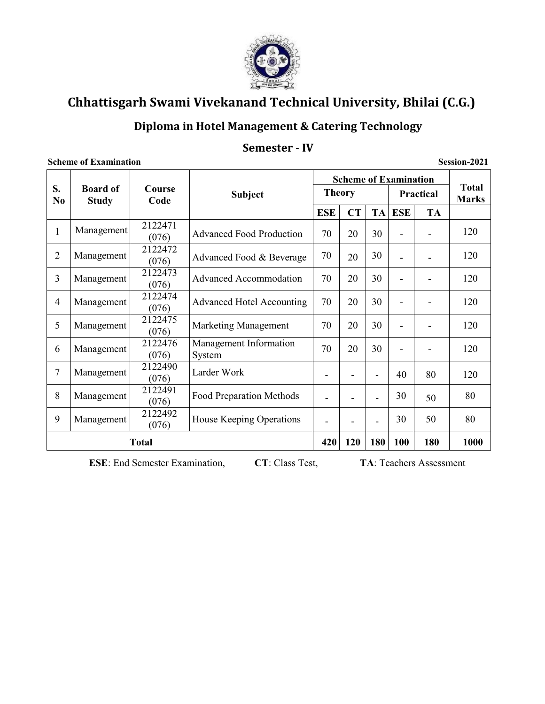

## Diploma in Hotel Management & Catering Technology

#### Semester - IV

#### Session-2021 **Scheme of Examination Total** S. **Board of Course Theory** Practical **Subject Marks** No. **Study** Code **ESE**  $CT$ **TA ESE TA** 2122471 Management  $\mathbf{1}$ 120 30 **Advanced Food Production** 70 20  $\Box$  $\blacksquare$  $(076)$ 2122472  $\overline{2}$ Management 30 70 120 Advanced Food & Beverage 20  $\Box$  $\blacksquare$  $(076)$ 2122473 **Advanced Accommodation** 70 30  $\overline{3}$ Management 20 120  $\mathbb{Z}^d$  $\Box$  $(076)$ 2122474  $\overline{4}$ **Advanced Hotel Accounting** 30 Management 70 20 120  $\blacksquare$  $\blacksquare$  $(076)$ 2122475 120 5 70 20 30 Management **Marketing Management**  $\Box$  $\overline{\phantom{a}}$  $(076)$ **Management Information** 2122476 6 70 30 Management 20  $\equiv$  $\blacksquare$ 120  $(076)$ System 2122490  $\overline{7}$ Management Larder Work 40 80 120  $\overline{a}$  $\blacksquare$  $\blacksquare$  $(076)$ 2122491 8 Management Food Preparation Methods 30 80 50  $\overline{a}$  $\overline{a}$  $\overline{\phantom{a}}$  $(076)$ 2122492 9 House Keeping Operations Management 30 50 80  $\blacksquare$  $\overline{a}$  $\overline{\phantom{a}}$  $(076)$ **Total** 420 **120** 180 **100** 180 1000

**Scheme of Examination** 

CT: Class Test,

**ESE:** End Semester Examination,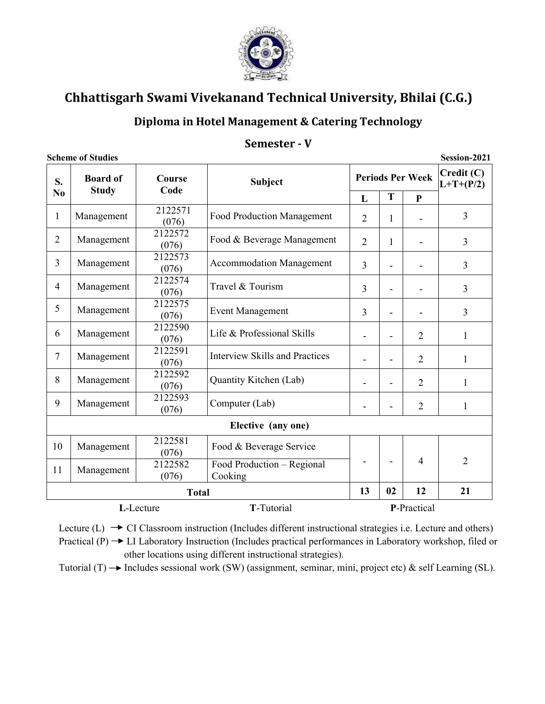

## Diploma in Hotel Management & Catering Technology

## Semester - V

**Scheme of Studies** 

Session-2021

| S.             | <b>Board of</b><br><b>Study</b> | Course<br>Code   | <b>Subject</b>                        |                |                | <b>Periods Per Week</b> | Credit (C)<br>$L+T+(P/2)$ |
|----------------|---------------------------------|------------------|---------------------------------------|----------------|----------------|-------------------------|---------------------------|
| N <sub>0</sub> |                                 |                  |                                       | L              | T              | $\mathbf{P}$            |                           |
| 1              | Management                      | 2122571<br>(076) | <b>Food Production Management</b>     | $\overline{2}$ | 1              |                         | 3                         |
| $\overline{2}$ | Management                      | 2122572<br>(076) | Food & Beverage Management            | $\overline{2}$ | 1              |                         | 3                         |
| $\overline{3}$ | Management                      | 2122573<br>(076) | <b>Accommodation Management</b>       | 3              |                | 3                       |                           |
| $\overline{4}$ | Management                      | 2122574<br>(076) | Travel & Tourism                      | 3              |                |                         | 3                         |
| 5              | Management                      | 2122575<br>(076) | <b>Event Management</b><br>3          |                |                | 3                       |                           |
| 6              | Management                      | 2122590<br>(076) | Life & Professional Skills            |                | $\blacksquare$ | $\overline{2}$          | 1                         |
| $\tau$         | Management                      | 2122591<br>(076) | <b>Interview Skills and Practices</b> |                |                | $\overline{2}$          | $\mathbf{1}$              |
| 8              | Management                      | 2122592<br>(076) | Quantity Kitchen (Lab)                |                | $\blacksquare$ | $\overline{2}$          | 1                         |
| 9              | Management                      | 2122593<br>(076) | Computer (Lab)                        |                |                | $\overline{2}$          | $\mathbf{1}$              |
|                |                                 |                  | Elective (any one)                    |                |                |                         |                           |
| 10             | Management                      | 2122581<br>(076) | Food & Beverage Service               |                |                |                         |                           |
| 11             | Management                      | 2122582<br>(076) | Food Production - Regional<br>Cooking |                |                | $\overline{4}$          | $\overline{2}$            |
|                |                                 | <b>Total</b>     |                                       | 13             | 02             | 12                      | 21                        |
|                |                                 | L-Lecture        | T-Tutorial                            |                |                | P-Practical             |                           |

Lecture (L)  $\rightarrow$  CI Classroom instruction (Includes different instructional strategies i.e. Lecture and others)

Practical  $(P) \rightarrow L$ I Laboratory Instruction (Includes practical performances in Laboratory workshop, filed or other locations using different instructional strategies).

Tutorial (T)  $\rightarrow$  Includes sessional work (SW) (assignment, seminar, mini, project etc) & self Learning (SL).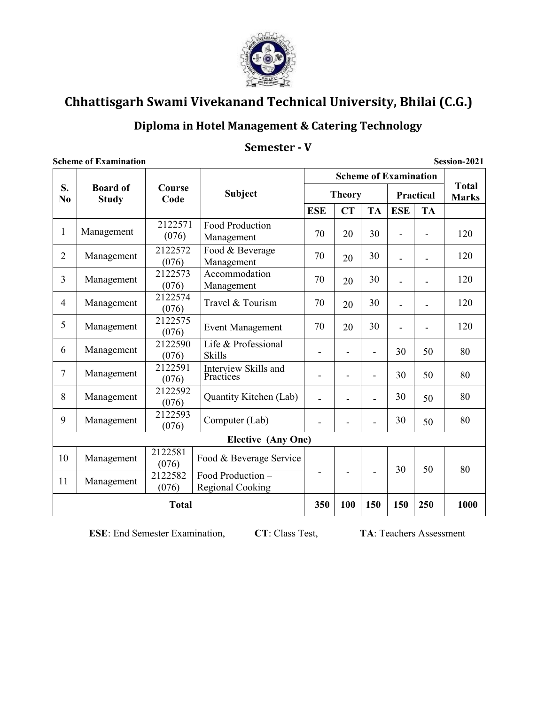

# Diploma in Hotel Management & Catering Technology

|                      | Scheme of Examination           |                  |                                              |                |                | Session-2021             |                              |           |                              |
|----------------------|---------------------------------|------------------|----------------------------------------------|----------------|----------------|--------------------------|------------------------------|-----------|------------------------------|
|                      |                                 |                  |                                              |                |                |                          | <b>Scheme of Examination</b> |           |                              |
| S.<br>N <sub>0</sub> | <b>Board of</b><br><b>Study</b> | Course<br>Code   | <b>Subject</b>                               |                | <b>Theory</b>  |                          |                              | Practical | <b>Total</b><br><b>Marks</b> |
|                      |                                 |                  |                                              | <b>ESE</b>     | <b>CT</b>      | <b>TA</b>                | <b>ESE</b>                   | <b>TA</b> |                              |
| $\mathbf{1}$         | Management                      | 2122571<br>(076) | Food Production<br>Management                | 70             | 20             | 30                       | L,                           |           | 120                          |
| $\overline{2}$       | Management                      | 2122572<br>(076) | Food & Beverage<br>Management                | 70             | 20             | 30                       | ä,                           | Ĭ.        | 120                          |
| $\overline{3}$       | Management                      | 2122573<br>(076) | Accommodation<br>Management                  | 70             | 20             | 30                       | $\blacksquare$               |           | 120                          |
| $\overline{4}$       | Management                      | 2122574<br>(076) | Travel & Tourism                             | 70             | 20             | 30                       | $\blacksquare$               |           | 120                          |
| 5                    | Management                      | 2122575<br>(076) | <b>Event Management</b>                      | 70             | 20             | 30                       | $\overline{\phantom{0}}$     |           | 120                          |
| 6                    | Management                      | 2122590<br>(076) | Life & Professional<br><b>Skills</b>         |                | $\overline{a}$ | $\overline{\phantom{0}}$ | 30                           | 50        | 80                           |
| $\overline{7}$       | Management                      | 2122591<br>(076) | Interview Skills and<br>Practices            |                | $\blacksquare$ | $\blacksquare$           | 30                           | 50        | 80                           |
| 8                    | Management                      | 2122592<br>(076) | Quantity Kitchen (Lab)                       | $\blacksquare$ |                | L.                       | 30                           | 50        | 80                           |
| 9                    | Management                      | 2122593<br>(076) | Computer (Lab)                               | $\frac{1}{2}$  |                |                          | 30                           | 50        | 80                           |
|                      |                                 |                  | <b>Elective (Any One)</b>                    |                |                |                          |                              |           |                              |
| 10                   | Management                      | 2122581<br>(076) | Food & Beverage Service                      |                |                |                          | 30                           | 50        | 80                           |
| 11                   | Management                      | 2122582<br>(076) | Food Production -<br><b>Regional Cooking</b> |                |                |                          |                              |           |                              |
|                      |                                 | <b>Total</b>     |                                              | 350            | 100            | 150                      | 150                          | 250       | 1000                         |

 $\sim$   $\blacksquare$  $\epsilon$  in  $\ddot{\phantom{0}}$  $\overline{12}$ 

**ESE:** End Semester Examination,

CT: Class Test,

TA: Teachers Assessment

 $0.021$